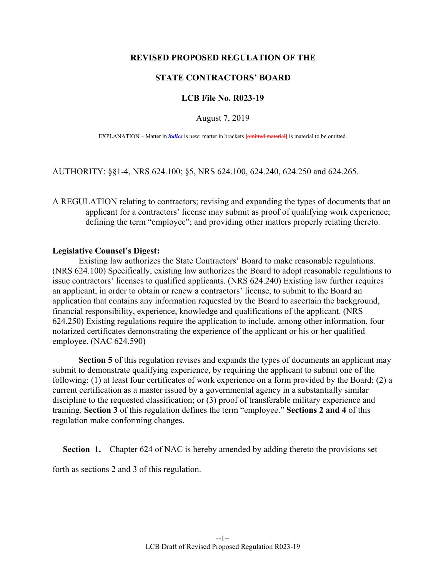## **REVISED PROPOSED REGULATION OF THE**

## **STATE CONTRACTORS' BOARD**

## **LCB File No. R023-19**

August 7, 2019

EXPLANATION – Matter in *italics* is new; matter in brackets **[**omitted material**]** is material to be omitted.

AUTHORITY: §§1-4, NRS 624.100; §5, NRS 624.100, 624.240, 624.250 and 624.265.

A REGULATION relating to contractors; revising and expanding the types of documents that an applicant for a contractors' license may submit as proof of qualifying work experience; defining the term "employee"; and providing other matters properly relating thereto.

## **Legislative Counsel's Digest:**

 Existing law authorizes the State Contractors' Board to make reasonable regulations. (NRS 624.100) Specifically, existing law authorizes the Board to adopt reasonable regulations to issue contractors' licenses to qualified applicants. (NRS 624.240) Existing law further requires an applicant, in order to obtain or renew a contractors' license, to submit to the Board an application that contains any information requested by the Board to ascertain the background, financial responsibility, experience, knowledge and qualifications of the applicant. (NRS 624.250) Existing regulations require the application to include, among other information, four notarized certificates demonstrating the experience of the applicant or his or her qualified employee. (NAC 624.590)

 **Section 5** of this regulation revises and expands the types of documents an applicant may submit to demonstrate qualifying experience, by requiring the applicant to submit one of the following: (1) at least four certificates of work experience on a form provided by the Board; (2) a current certification as a master issued by a governmental agency in a substantially similar discipline to the requested classification; or (3) proof of transferable military experience and training. **Section 3** of this regulation defines the term "employee." **Sections 2 and 4** of this regulation make conforming changes.

**Section 1.** Chapter 624 of NAC is hereby amended by adding thereto the provisions set

forth as sections 2 and 3 of this regulation.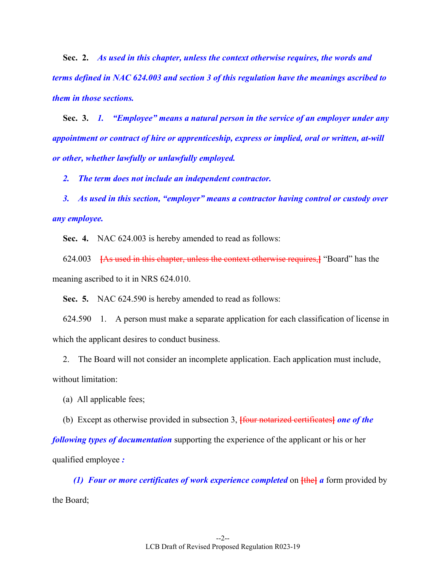**Sec. 2.** *As used in this chapter, unless the context otherwise requires, the words and terms defined in NAC 624.003 and section 3 of this regulation have the meanings ascribed to them in those sections.*

 **Sec. 3.** *1. "Employee" means a natural person in the service of an employer under any appointment or contract of hire or apprenticeship, express or implied, oral or written, at-will or other, whether lawfully or unlawfully employed.* 

 *2. The term does not include an independent contractor.* 

 *3. As used in this section, "employer" means a contractor having control or custody over any employee.* 

 **Sec. 4.** NAC 624.003 is hereby amended to read as follows:

 624.003 **[**As used in this chapter, unless the context otherwise requires,**]** "Board" has the meaning ascribed to it in NRS 624.010.

 **Sec. 5.** NAC 624.590 is hereby amended to read as follows:

 624.590 1. A person must make a separate application for each classification of license in which the applicant desires to conduct business.

 2. The Board will not consider an incomplete application. Each application must include, without limitation:

(a) All applicable fees;

(b) Except as otherwise provided in subsection 3, **[**four notarized certificates**]** *one of the* 

*following types of documentation* supporting the experience of the applicant or his or her qualified employee *:* 

*(1) Four or more certificates of work experience completed on*  $\frac{1}{1}$  *<i>fthe a* form provided by the Board;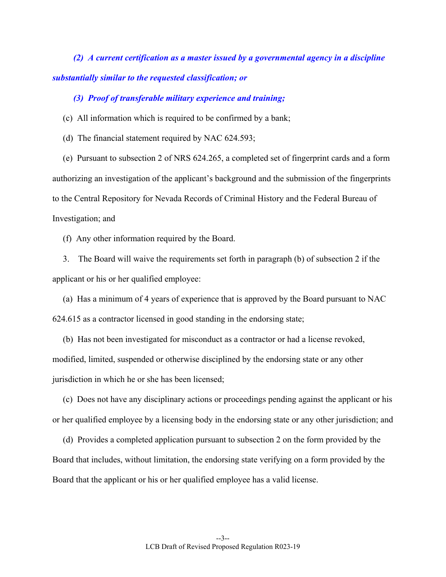*(2) A current certification as a master issued by a governmental agency in a discipline substantially similar to the requested classification; or* 

 *(3) Proof of transferable military experience and training;* 

(c) All information which is required to be confirmed by a bank;

(d) The financial statement required by NAC 624.593;

 (e) Pursuant to subsection 2 of NRS 624.265, a completed set of fingerprint cards and a form authorizing an investigation of the applicant's background and the submission of the fingerprints to the Central Repository for Nevada Records of Criminal History and the Federal Bureau of Investigation; and

(f) Any other information required by the Board.

 3. The Board will waive the requirements set forth in paragraph (b) of subsection 2 if the applicant or his or her qualified employee:

 (a) Has a minimum of 4 years of experience that is approved by the Board pursuant to NAC 624.615 as a contractor licensed in good standing in the endorsing state;

 (b) Has not been investigated for misconduct as a contractor or had a license revoked, modified, limited, suspended or otherwise disciplined by the endorsing state or any other jurisdiction in which he or she has been licensed;

 (c) Does not have any disciplinary actions or proceedings pending against the applicant or his or her qualified employee by a licensing body in the endorsing state or any other jurisdiction; and

 (d) Provides a completed application pursuant to subsection 2 on the form provided by the Board that includes, without limitation, the endorsing state verifying on a form provided by the Board that the applicant or his or her qualified employee has a valid license.